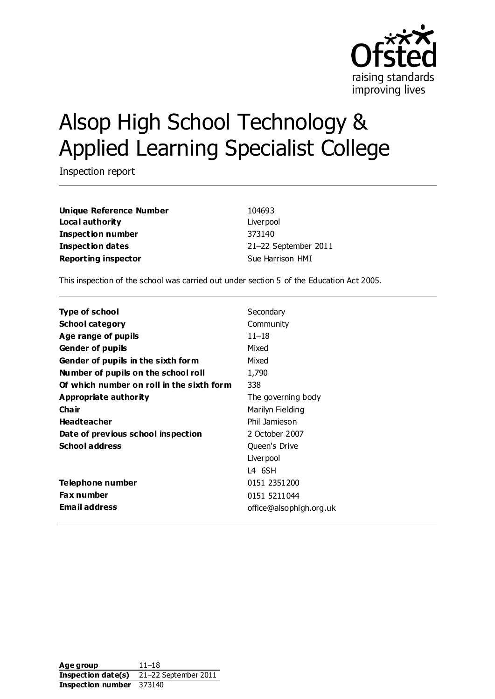

# Alsop High School Technology & Applied Learning Specialist College

Inspection report

**Unique Reference Number** 104693 **Local authority** Liverpool **Inspection number** 373140 **Inspection dates** 21–22 September 2011 **Reporting inspector** Sue Harrison HMI

This inspection of the school was carried out under section 5 of the Education Act 2005.

| Type of school                            | Secondary               |
|-------------------------------------------|-------------------------|
| <b>School category</b>                    | Community               |
| Age range of pupils                       | $11 - 18$               |
| <b>Gender of pupils</b>                   | Mixed                   |
| Gender of pupils in the sixth form        | Mixed                   |
| Number of pupils on the school roll       | 1,790                   |
| Of which number on roll in the sixth form | 338                     |
| Appropriate authority                     | The governing body      |
| Cha ir                                    | Marilyn Fielding        |
| <b>Headteacher</b>                        | Phil Jamieson           |
| Date of previous school inspection        | 2 October 2007          |
| <b>School address</b>                     | Queen's Drive           |
|                                           | Liver pool              |
|                                           | L4 6SH                  |
| Telephone number                          | 0151 2351 200           |
| <b>Fax number</b>                         | 0151 5211044            |
| <b>Email address</b>                      | office@alsophigh.org.uk |
|                                           |                         |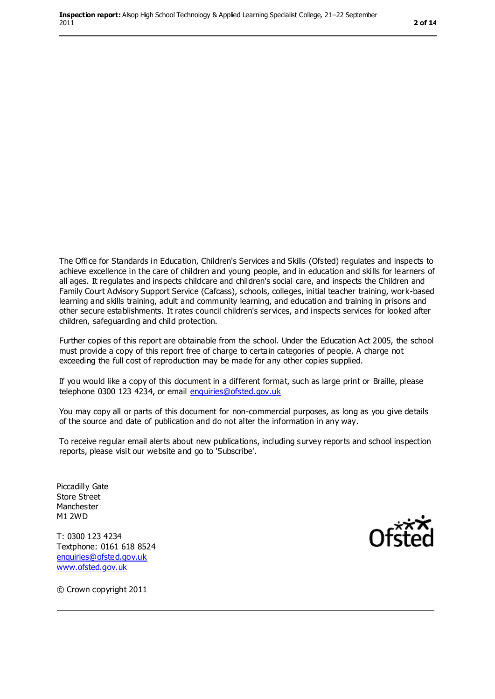The Office for Standards in Education, Children's Services and Skills (Ofsted) regulates and inspects to achieve excellence in the care of children and young people, and in education and skills for learners of all ages. It regulates and inspects childcare and children's social care, and inspects the Children and Family Court Advisory Support Service (Cafcass), schools, colleges, initial teacher training, work-based learning and skills training, adult and community learning, and education and training in prisons and other secure establishments. It rates council children's services, and inspects services for looked after children, safeguarding and child protection.

Further copies of this report are obtainable from the school. Under the Education Act 2005, the school must provide a copy of this report free of charge to certain categories of people. A charge not exceeding the full cost of reproduction may be made for any other copies supplied.

If you would like a copy of this document in a different format, such as large print or Braille, please telephone 0300 123 4234, or email [enquiries@ofsted.gov.uk](mailto:enquiries@ofsted.gov.uk)

You may copy all or parts of this document for non-commercial purposes, as long as you give details of the source and date of publication and do not alter the information in any way.

To receive regular email alerts about new publications, including survey reports and school inspection reports, please visit our website and go to 'Subscribe'.

Piccadilly Gate Store Street Manchester M1 2WD

T: 0300 123 4234 Textphone: 0161 618 8524 [enquiries@ofsted.gov.uk](mailto:enquiries@ofsted.gov.uk) [www.ofsted.gov.uk](http://www.ofsted.gov.uk/)



© Crown copyright 2011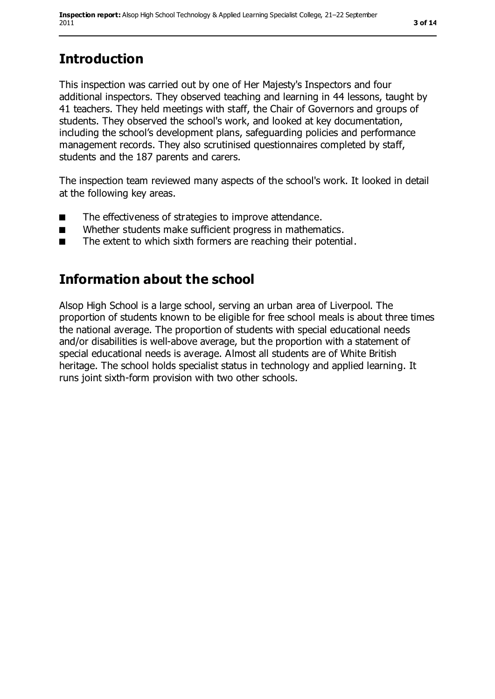# **Introduction**

This inspection was carried out by one of Her Majesty's Inspectors and four additional inspectors. They observed teaching and learning in 44 lessons, taught by 41 teachers. They held meetings with staff, the Chair of Governors and groups of students. They observed the school's work, and looked at key documentation, including the school's development plans, safeguarding policies and performance management records. They also scrutinised questionnaires completed by staff, students and the 187 parents and carers.

The inspection team reviewed many aspects of the school's work. It looked in detail at the following key areas.

- The effectiveness of strategies to improve attendance.
- Whether students make sufficient progress in mathematics.
- The extent to which sixth formers are reaching their potential.

## **Information about the school**

Alsop High School is a large school, serving an urban area of Liverpool. The proportion of students known to be eligible for free school meals is about three times the national average. The proportion of students with special educational needs and/or disabilities is well-above average, but the proportion with a statement of special educational needs is average. Almost all students are of White British heritage. The school holds specialist status in technology and applied learning. It runs joint sixth-form provision with two other schools.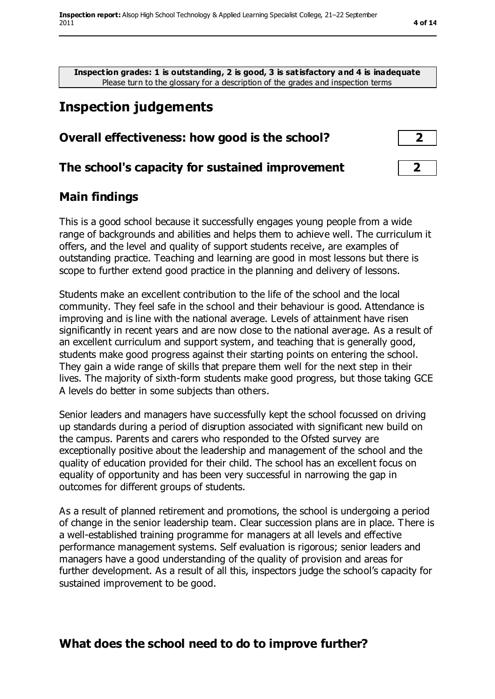**Inspection grades: 1 is outstanding, 2 is good, 3 is satisfactory and 4 is inadequate** Please turn to the glossary for a description of the grades and inspection terms

## **Inspection judgements**

#### **Overall effectiveness: how good is the school? 2**

#### **The school's capacity for sustained improvement 2**

#### **Main findings**

This is a good school because it successfully engages young people from a wide range of backgrounds and abilities and helps them to achieve well. The curriculum it offers, and the level and quality of support students receive, are examples of outstanding practice. Teaching and learning are good in most lessons but there is scope to further extend good practice in the planning and delivery of lessons.

Students make an excellent contribution to the life of the school and the local community. They feel safe in the school and their behaviour is good. Attendance is improving and is line with the national average. Levels of attainment have risen significantly in recent years and are now close to the national average. As a result of an excellent curriculum and support system, and teaching that is generally good, students make good progress against their starting points on entering the school. They gain a wide range of skills that prepare them well for the next step in their lives. The majority of sixth-form students make good progress, but those taking GCE A levels do better in some subjects than others.

Senior leaders and managers have successfully kept the school focussed on driving up standards during a period of disruption associated with significant new build on the campus. Parents and carers who responded to the Ofsted survey are exceptionally positive about the leadership and management of the school and the quality of education provided for their child. The school has an excellent focus on equality of opportunity and has been very successful in narrowing the gap in outcomes for different groups of students.

As a result of planned retirement and promotions, the school is undergoing a period of change in the senior leadership team. Clear succession plans are in place. There is a well-established training programme for managers at all levels and effective performance management systems. Self evaluation is rigorous; senior leaders and managers have a good understanding of the quality of provision and areas for further development. As a result of all this, inspectors judge the school's capacity for sustained improvement to be good.

#### **What does the school need to do to improve further?**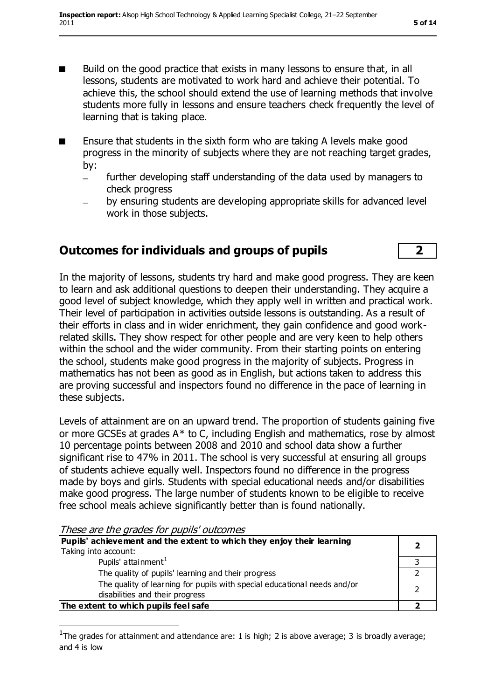- Build on the good practice that exists in many lessons to ensure that, in all lessons, students are motivated to work hard and achieve their potential. To achieve this, the school should extend the use of learning methods that involve students more fully in lessons and ensure teachers check frequently the level of learning that is taking place.
- Ensure that students in the sixth form who are taking A levels make good progress in the minority of subjects where they are not reaching target grades, by:
	- further developing staff understanding of the data used by managers to  $\equiv$ check progress
	- by ensuring students are developing appropriate skills for advanced level work in those subjects.

## **Outcomes for individuals and groups of pupils 2**

In the majority of lessons, students try hard and make good progress. They are keen to learn and ask additional questions to deepen their understanding. They acquire a good level of subject knowledge, which they apply well in written and practical work. Their level of participation in activities outside lessons is outstanding. As a result of their efforts in class and in wider enrichment, they gain confidence and good workrelated skills. They show respect for other people and are very keen to help others within the school and the wider community. From their starting points on entering the school, students make good progress in the majority of subjects. Progress in mathematics has not been as good as in English, but actions taken to address this are proving successful and inspectors found no difference in the pace of learning in these subjects.

Levels of attainment are on an upward trend. The proportion of students gaining five or more GCSEs at grades A\* to C, including English and mathematics, rose by almost 10 percentage points between 2008 and 2010 and school data show a further significant rise to 47% in 2011. The school is very successful at ensuring all groups of students achieve equally well. Inspectors found no difference in the progress made by boys and girls. Students with special educational needs and/or disabilities make good progress. The large number of students known to be eligible to receive free school meals achieve significantly better than is found nationally.

| Pupils' achievement and the extent to which they enjoy their learning                                       |  |
|-------------------------------------------------------------------------------------------------------------|--|
| Taking into account:                                                                                        |  |
| Pupils' attainment <sup>1</sup>                                                                             |  |
| The quality of pupils' learning and their progress                                                          |  |
| The quality of learning for pupils with special educational needs and/or<br>disabilities and their progress |  |
| The extent to which pupils feel safe                                                                        |  |

These are the grades for pupils' outcomes

 $\overline{a}$ 

<sup>1</sup>The grades for attainment and attendance are: 1 is high; 2 is above average; 3 is broadly average; and 4 is low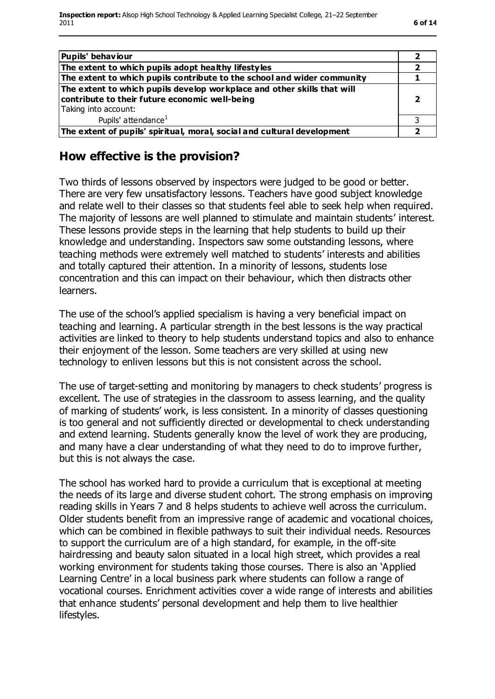| <b>Pupils' behaviour</b>                                                                                                                          |  |
|---------------------------------------------------------------------------------------------------------------------------------------------------|--|
| The extent to which pupils adopt healthy lifestyles                                                                                               |  |
| The extent to which pupils contribute to the school and wider community                                                                           |  |
| The extent to which pupils develop workplace and other skills that will<br>contribute to their future economic well-being<br>Taking into account: |  |
| Pupils' attendance <sup>1</sup>                                                                                                                   |  |
| The extent of pupils' spiritual, moral, social and cultural development                                                                           |  |

#### **How effective is the provision?**

Two thirds of lessons observed by inspectors were judged to be good or better. There are very few unsatisfactory lessons. Teachers have good subject knowledge and relate well to their classes so that students feel able to seek help when required. The majority of lessons are well planned to stimulate and maintain students' interest. These lessons provide steps in the learning that help students to build up their knowledge and understanding. Inspectors saw some outstanding lessons, where teaching methods were extremely well matched to students' interests and abilities and totally captured their attention. In a minority of lessons, students lose concentration and this can impact on their behaviour, which then distracts other learners.

The use of the school's applied specialism is having a very beneficial impact on teaching and learning. A particular strength in the best lessons is the way practical activities are linked to theory to help students understand topics and also to enhance their enjoyment of the lesson. Some teachers are very skilled at using new technology to enliven lessons but this is not consistent across the school.

The use of target-setting and monitoring by managers to check students' progress is excellent. The use of strategies in the classroom to assess learning, and the quality of marking of students' work, is less consistent. In a minority of classes questioning is too general and not sufficiently directed or developmental to check understanding and extend learning. Students generally know the level of work they are producing, and many have a clear understanding of what they need to do to improve further, but this is not always the case.

The school has worked hard to provide a curriculum that is exceptional at meeting the needs of its large and diverse student cohort. The strong emphasis on improving reading skills in Years 7 and 8 helps students to achieve well across the curriculum. Older students benefit from an impressive range of academic and vocational choices, which can be combined in flexible pathways to suit their individual needs. Resources to support the curriculum are of a high standard, for example, in the off-site hairdressing and beauty salon situated in a local high street, which provides a real working environment for students taking those courses. There is also an 'Applied Learning Centre' in a local business park where students can follow a range of vocational courses. Enrichment activities cover a wide range of interests and abilities that enhance students' personal development and help them to live healthier lifestyles.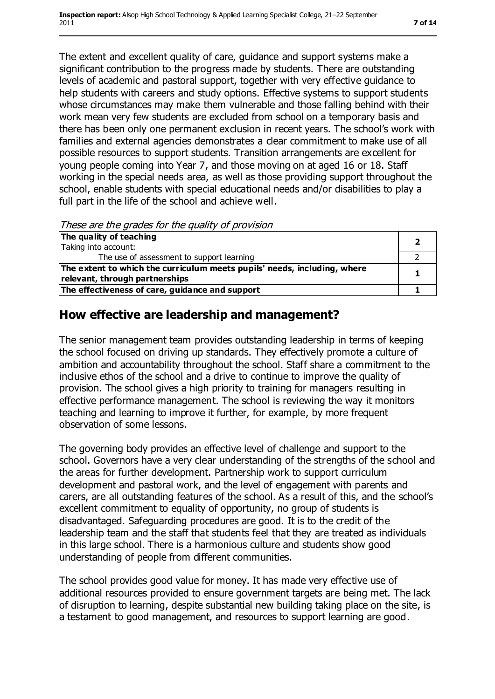The extent and excellent quality of care, guidance and support systems make a significant contribution to the progress made by students. There are outstanding levels of academic and pastoral support, together with very effective guidance to help students with careers and study options. Effective systems to support students whose circumstances may make them vulnerable and those falling behind with their work mean very few students are excluded from school on a temporary basis and there has been only one permanent exclusion in recent years. The school's work with families and external agencies demonstrates a clear commitment to make use of all possible resources to support students. Transition arrangements are excellent for young people coming into Year 7, and those moving on at aged 16 or 18. Staff working in the special needs area, as well as those providing support throughout the school, enable students with special educational needs and/or disabilities to play a full part in the life of the school and achieve well.

These are the grades for the quality of provision

| The quality of teaching                                                  |  |
|--------------------------------------------------------------------------|--|
| Taking into account:                                                     |  |
| The use of assessment to support learning                                |  |
| The extent to which the curriculum meets pupils' needs, including, where |  |
| relevant, through partnerships                                           |  |
| The effectiveness of care, guidance and support                          |  |

#### **How effective are leadership and management?**

The senior management team provides outstanding leadership in terms of keeping the school focused on driving up standards. They effectively promote a culture of ambition and accountability throughout the school. Staff share a commitment to the inclusive ethos of the school and a drive to continue to improve the quality of provision. The school gives a high priority to training for managers resulting in effective performance management. The school is reviewing the way it monitors teaching and learning to improve it further, for example, by more frequent observation of some lessons.

The governing body provides an effective level of challenge and support to the school. Governors have a very clear understanding of the strengths of the school and the areas for further development. Partnership work to support curriculum development and pastoral work, and the level of engagement with parents and carers, are all outstanding features of the school. As a result of this, and the school's excellent commitment to equality of opportunity, no group of students is disadvantaged. Safeguarding procedures are good. It is to the credit of the leadership team and the staff that students feel that they are treated as individuals in this large school. There is a harmonious culture and students show good understanding of people from different communities.

The school provides good value for money. It has made very effective use of additional resources provided to ensure government targets are being met. The lack of disruption to learning, despite substantial new building taking place on the site, is a testament to good management, and resources to support learning are good.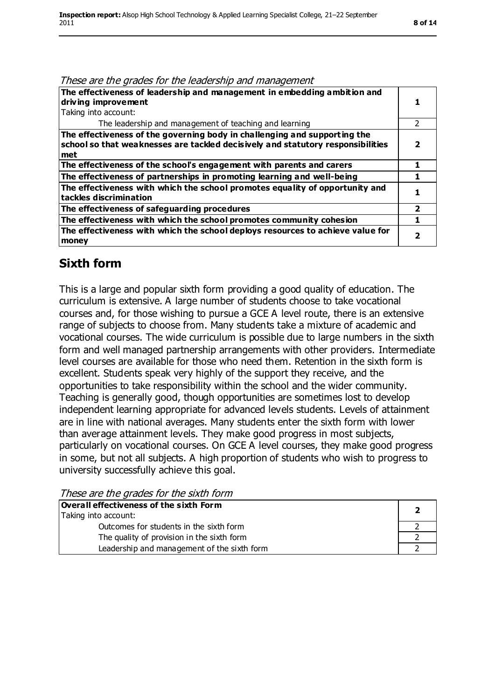#### These are the grades for the leadership and management

| The effectiveness of leadership and management in embedding ambition and<br>driving improvement<br>Taking into account:                                                   |               |
|---------------------------------------------------------------------------------------------------------------------------------------------------------------------------|---------------|
| The leadership and management of teaching and learning                                                                                                                    | $\mathcal{P}$ |
| The effectiveness of the governing body in challenging and supporting the<br>$ $ school so that weaknesses are tackled decisively and statutory responsibilities<br>l met |               |
| The effectiveness of the school's engagement with parents and carers                                                                                                      |               |
| The effectiveness of partnerships in promoting learning and well-being                                                                                                    |               |
| The effectiveness with which the school promotes equality of opportunity and<br>tackles discrimination                                                                    |               |
| The effectiveness of safeguarding procedures                                                                                                                              | 2             |
| The effectiveness with which the school promotes community cohesion                                                                                                       |               |
| The effectiveness with which the school deploys resources to achieve value for<br>money                                                                                   |               |

#### **Sixth form**

This is a large and popular sixth form providing a good quality of education. The curriculum is extensive. A large number of students choose to take vocational courses and, for those wishing to pursue a GCE A level route, there is an extensive range of subjects to choose from. Many students take a mixture of academic and vocational courses. The wide curriculum is possible due to large numbers in the sixth form and well managed partnership arrangements with other providers. Intermediate level courses are available for those who need them. Retention in the sixth form is excellent. Students speak very highly of the support they receive, and the opportunities to take responsibility within the school and the wider community. Teaching is generally good, though opportunities are sometimes lost to develop independent learning appropriate for advanced levels students. Levels of attainment are in line with national averages. Many students enter the sixth form with lower than average attainment levels. They make good progress in most subjects, particularly on vocational courses. On GCE A level courses, they make good progress in some, but not all subjects. A high proportion of students who wish to progress to university successfully achieve this goal.

These are the grades for the sixth form

| Overall effectiveness of the sixth Form<br>Taking into account: |  |
|-----------------------------------------------------------------|--|
| Outcomes for students in the sixth form                         |  |
| The quality of provision in the sixth form                      |  |
| Leadership and management of the sixth form                     |  |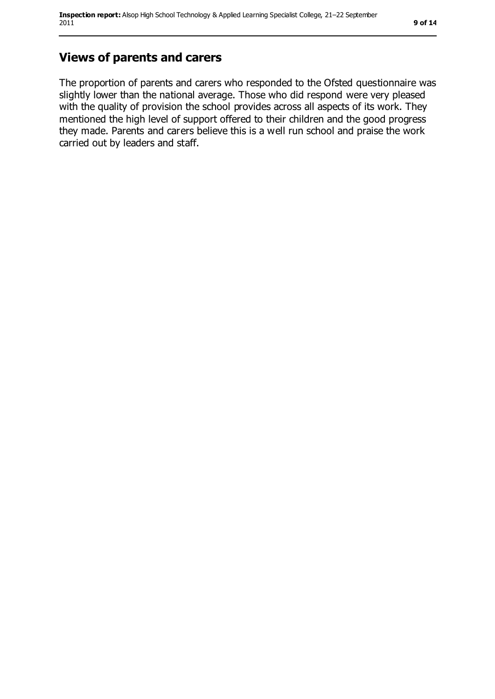## **Views of parents and carers**

The proportion of parents and carers who responded to the Ofsted questionnaire was slightly lower than the national average. Those who did respond were very pleased with the quality of provision the school provides across all aspects of its work. They mentioned the high level of support offered to their children and the good progress they made. Parents and carers believe this is a well run school and praise the work carried out by leaders and staff.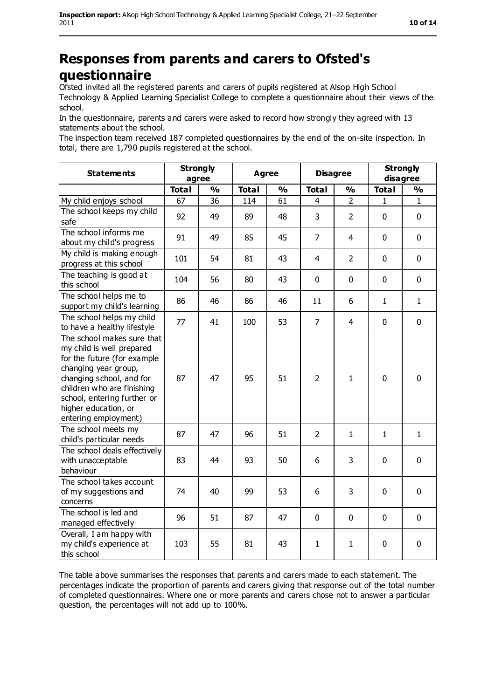## **Responses from parents and carers to Ofsted's questionnaire**

Ofsted invited all the registered parents and carers of pupils registered at Alsop High School Technology & Applied Learning Specialist College to complete a questionnaire about their views of the school.

In the questionnaire, parents and carers were asked to record how strongly they agreed with 13 statements about the school.

The inspection team received 187 completed questionnaires by the end of the on-site inspection. In total, there are 1,790 pupils registered at the school.

| <b>Statements</b>                                                                                                                                                                                                                                       | <b>Strongly</b><br>agree |               | <b>Agree</b> |               | <b>Disagree</b> |                | <b>Strongly</b><br>disagree |               |
|---------------------------------------------------------------------------------------------------------------------------------------------------------------------------------------------------------------------------------------------------------|--------------------------|---------------|--------------|---------------|-----------------|----------------|-----------------------------|---------------|
|                                                                                                                                                                                                                                                         | <b>Total</b>             | $\frac{1}{2}$ | <b>Total</b> | $\frac{1}{2}$ | <b>Total</b>    | $\frac{1}{2}$  | <b>Total</b>                | $\frac{1}{2}$ |
| My child enjoys school                                                                                                                                                                                                                                  | 67                       | 36            | 114          | 61            | 4               | $\overline{2}$ | 1                           | 1             |
| The school keeps my child<br>safe                                                                                                                                                                                                                       | 92                       | 49            | 89           | 48            | 3               | $\overline{2}$ | $\mathbf 0$                 | 0             |
| The school informs me<br>about my child's progress                                                                                                                                                                                                      | 91                       | 49            | 85           | 45            | $\overline{7}$  | $\overline{4}$ | $\mathbf 0$                 | 0             |
| My child is making enough<br>progress at this school                                                                                                                                                                                                    | 101                      | 54            | 81           | 43            | $\overline{4}$  | $\overline{2}$ | $\mathbf 0$                 | 0             |
| The teaching is good at<br>this school                                                                                                                                                                                                                  | 104                      | 56            | 80           | 43            | 0               | $\mathbf 0$    | $\mathbf 0$                 | 0             |
| The school helps me to<br>support my child's learning                                                                                                                                                                                                   | 86                       | 46            | 86           | 46            | 11              | 6              | $\mathbf{1}$                | $\mathbf{1}$  |
| The school helps my child<br>to have a healthy lifestyle                                                                                                                                                                                                | 77                       | 41            | 100          | 53            | $\overline{7}$  | $\overline{4}$ | $\mathbf 0$                 | $\mathbf 0$   |
| The school makes sure that<br>my child is well prepared<br>for the future (for example<br>changing year group,<br>changing school, and for<br>children who are finishing<br>school, entering further or<br>higher education, or<br>entering employment) | 87                       | 47            | 95           | 51            | $\overline{2}$  | $\mathbf{1}$   | $\mathbf 0$                 | $\mathbf 0$   |
| The school meets my<br>child's particular needs                                                                                                                                                                                                         | 87                       | 47            | 96           | 51            | $\overline{2}$  | $\mathbf{1}$   | $\mathbf{1}$                | $\mathbf{1}$  |
| The school deals effectively<br>with unacceptable<br>behaviour                                                                                                                                                                                          | 83                       | 44            | 93           | 50            | 6               | 3              | $\mathbf 0$                 | $\mathbf 0$   |
| The school takes account<br>of my suggestions and<br>concerns                                                                                                                                                                                           | 74                       | 40            | 99           | 53            | 6               | 3              | $\mathbf 0$                 | $\mathbf 0$   |
| The school is led and<br>managed effectively                                                                                                                                                                                                            | 96                       | 51            | 87           | 47            | $\mathbf{0}$    | 0              | $\mathbf 0$                 | $\mathbf 0$   |
| Overall, I am happy with<br>my child's experience at<br>this school                                                                                                                                                                                     | 103                      | 55            | 81           | 43            | $\mathbf{1}$    | $\mathbf{1}$   | 0                           | 0             |

The table above summarises the responses that parents and carers made to each statement. The percentages indicate the proportion of parents and carers giving that response out of the total number of completed questionnaires. Where one or more parents and carers chose not to answer a particular question, the percentages will not add up to 100%.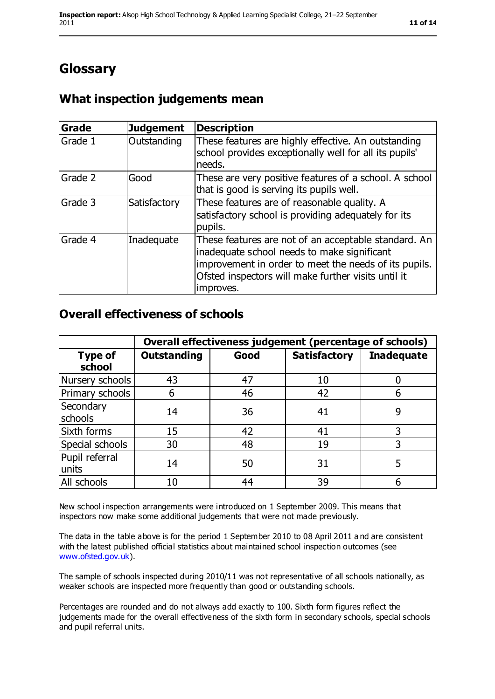## **Glossary**

## **What inspection judgements mean**

| Grade   | <b>Judgement</b> | <b>Description</b>                                                                                                                                                                                                               |
|---------|------------------|----------------------------------------------------------------------------------------------------------------------------------------------------------------------------------------------------------------------------------|
| Grade 1 | Outstanding      | These features are highly effective. An outstanding<br>school provides exceptionally well for all its pupils'<br>needs.                                                                                                          |
| Grade 2 | Good             | These are very positive features of a school. A school<br>that is good is serving its pupils well.                                                                                                                               |
| Grade 3 | Satisfactory     | These features are of reasonable quality. A<br>satisfactory school is providing adequately for its<br>pupils.                                                                                                                    |
| Grade 4 | Inadequate       | These features are not of an acceptable standard. An<br>inadequate school needs to make significant<br>improvement in order to meet the needs of its pupils.<br>Ofsted inspectors will make further visits until it<br>improves. |

#### **Overall effectiveness of schools**

|                          | Overall effectiveness judgement (percentage of schools) |      |                     |                   |
|--------------------------|---------------------------------------------------------|------|---------------------|-------------------|
| <b>Type of</b><br>school | <b>Outstanding</b>                                      | Good | <b>Satisfactory</b> | <b>Inadequate</b> |
| Nursery schools          | 43                                                      | 47   | 10                  |                   |
| Primary schools          | 6                                                       | 46   | 42                  |                   |
| Secondary<br>schools     | 14                                                      | 36   | 41                  | 9                 |
| Sixth forms              | 15                                                      | 42   | 41                  | 3                 |
| Special schools          | 30                                                      | 48   | 19                  | 3                 |
| Pupil referral<br>units  | 14                                                      | 50   | 31                  | 5                 |
| All schools              | 10                                                      | 44   | 39                  |                   |

New school inspection arrangements were introduced on 1 September 2009. This means that inspectors now make some additional judgements that were not made previously.

The data in the table above is for the period 1 September 2010 to 08 April 2011 a nd are consistent with the latest published official statistics about maintained school inspection outcomes (see [www.ofsted.gov.uk\)](http://www.ofsted.gov.uk/).

The sample of schools inspected during 2010/11 was not representative of all schools nationally, as weaker schools are inspected more frequently than good or outstanding schools.

Percentages are rounded and do not always add exactly to 100. Sixth form figures reflect the judgements made for the overall effectiveness of the sixth form in secondary schools, special schools and pupil referral units.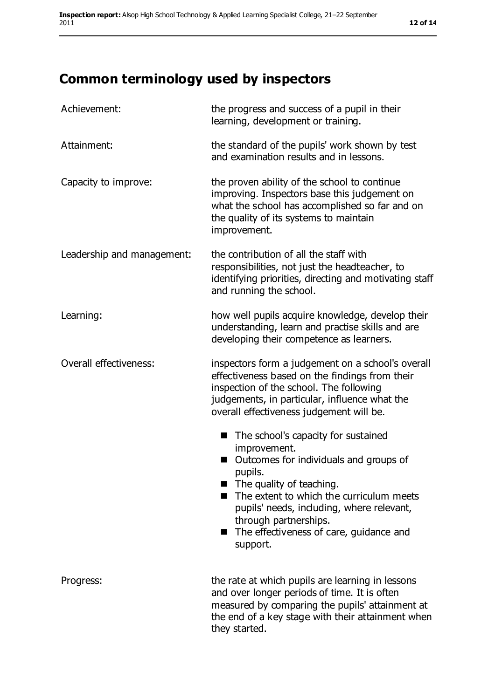# **Common terminology used by inspectors**

| Achievement:               | the progress and success of a pupil in their<br>learning, development or training.                                                                                                                                                                                                                                                          |
|----------------------------|---------------------------------------------------------------------------------------------------------------------------------------------------------------------------------------------------------------------------------------------------------------------------------------------------------------------------------------------|
| Attainment:                | the standard of the pupils' work shown by test<br>and examination results and in lessons.                                                                                                                                                                                                                                                   |
| Capacity to improve:       | the proven ability of the school to continue<br>improving. Inspectors base this judgement on<br>what the school has accomplished so far and on<br>the quality of its systems to maintain<br>improvement.                                                                                                                                    |
| Leadership and management: | the contribution of all the staff with<br>responsibilities, not just the headteacher, to<br>identifying priorities, directing and motivating staff<br>and running the school.                                                                                                                                                               |
| Learning:                  | how well pupils acquire knowledge, develop their<br>understanding, learn and practise skills and are<br>developing their competence as learners.                                                                                                                                                                                            |
| Overall effectiveness:     | inspectors form a judgement on a school's overall<br>effectiveness based on the findings from their<br>inspection of the school. The following<br>judgements, in particular, influence what the<br>overall effectiveness judgement will be.                                                                                                 |
|                            | The school's capacity for sustained<br>п<br>improvement.<br>Outcomes for individuals and groups of<br>pupils.<br>$\blacksquare$ The quality of teaching.<br>The extent to which the curriculum meets<br>▬<br>pupils' needs, including, where relevant,<br>through partnerships.<br>The effectiveness of care, guidance and<br>ш<br>support. |
| Progress:                  | the rate at which pupils are learning in lessons<br>and over longer periods of time. It is often<br>measured by comparing the pupils' attainment at<br>the end of a key stage with their attainment when<br>they started.                                                                                                                   |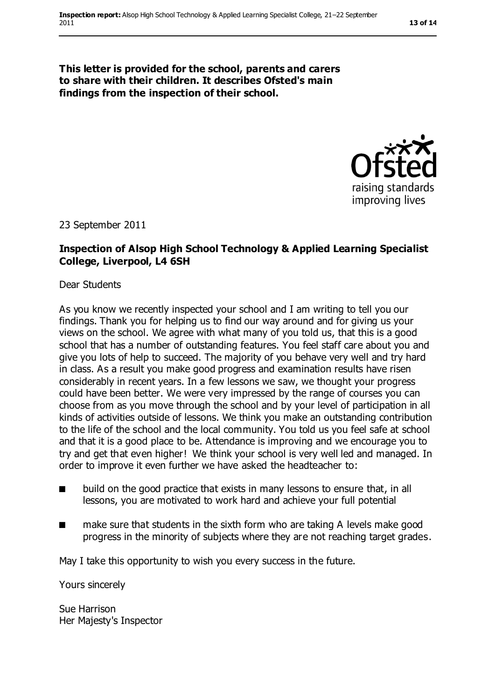**This letter is provided for the school, parents and carers to share with their children. It describes Ofsted's main findings from the inspection of their school.**



23 September 2011

#### **Inspection of Alsop High School Technology & Applied Learning Specialist College, Liverpool, L4 6SH**

Dear Students

As you know we recently inspected your school and I am writing to tell you our findings. Thank you for helping us to find our way around and for giving us your views on the school. We agree with what many of you told us, that this is a good school that has a number of outstanding features. You feel staff care about you and give you lots of help to succeed. The majority of you behave very well and try hard in class. As a result you make good progress and examination results have risen considerably in recent years. In a few lessons we saw, we thought your progress could have been better. We were very impressed by the range of courses you can choose from as you move through the school and by your level of participation in all kinds of activities outside of lessons. We think you make an outstanding contribution to the life of the school and the local community. You told us you feel safe at school and that it is a good place to be. Attendance is improving and we encourage you to try and get that even higher! We think your school is very well led and managed. In order to improve it even further we have asked the headteacher to:

- build on the good practice that exists in many lessons to ensure that, in all lessons, you are motivated to work hard and achieve your full potential
- make sure that students in the sixth form who are taking A levels make good progress in the minority of subjects where they are not reaching target grades.

May I take this opportunity to wish you every success in the future.

Yours sincerely

Sue Harrison Her Majesty's Inspector